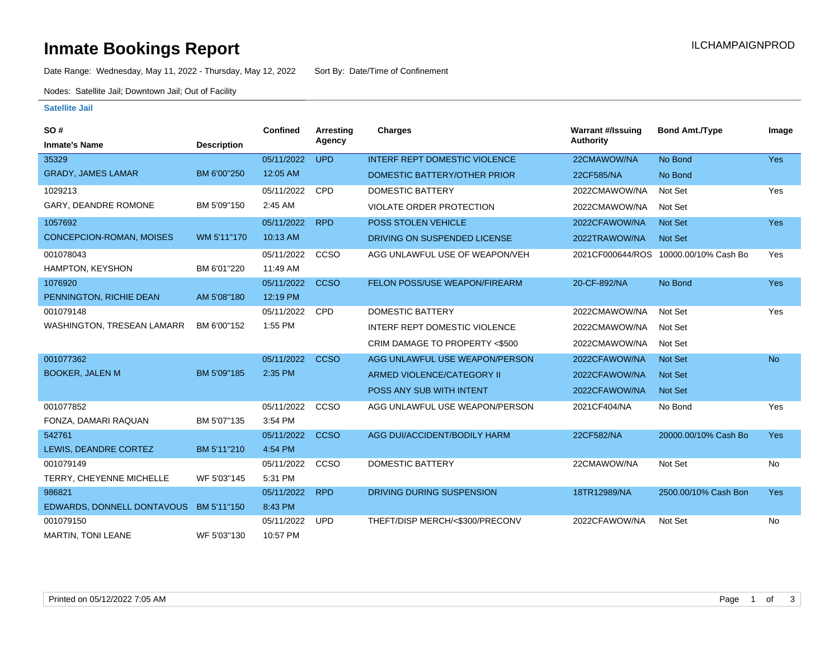# **Inmate Bookings Report Installation ILCHAMPAIGNPROD**

Date Range: Wednesday, May 11, 2022 - Thursday, May 12, 2022 Sort By: Date/Time of Confinement

Nodes: Satellite Jail; Downtown Jail; Out of Facility

### **Satellite Jail**

| SO#                             |                    | <b>Confined</b> | <b>Arresting</b> | <b>Charges</b>                       | <b>Warrant #/Issuing</b> | <b>Bond Amt./Type</b>                 | Image      |
|---------------------------------|--------------------|-----------------|------------------|--------------------------------------|--------------------------|---------------------------------------|------------|
| <b>Inmate's Name</b>            | <b>Description</b> |                 | Agency           |                                      | Authority                |                                       |            |
| 35329                           |                    | 05/11/2022      | <b>UPD</b>       | <b>INTERF REPT DOMESTIC VIOLENCE</b> | 22CMAWOW/NA              | No Bond                               | Yes        |
| <b>GRADY, JAMES LAMAR</b>       | BM 6'00"250        | 12:05 AM        |                  | DOMESTIC BATTERY/OTHER PRIOR         | 22CF585/NA               | No Bond                               |            |
| 1029213                         |                    | 05/11/2022      | CPD              | <b>DOMESTIC BATTERY</b>              | 2022CMAWOW/NA            | Not Set                               | Yes        |
| GARY, DEANDRE ROMONE            | BM 5'09"150        | 2:45 AM         |                  | <b>VIOLATE ORDER PROTECTION</b>      | 2022CMAWOW/NA            | Not Set                               |            |
| 1057692                         |                    | 05/11/2022      | <b>RPD</b>       | <b>POSS STOLEN VEHICLE</b>           | 2022CFAWOW/NA            | <b>Not Set</b>                        | <b>Yes</b> |
| <b>CONCEPCION-ROMAN, MOISES</b> | WM 5'11"170        | 10:13 AM        |                  | DRIVING ON SUSPENDED LICENSE         | 2022TRAWOW/NA            | <b>Not Set</b>                        |            |
| 001078043                       |                    | 05/11/2022      | CCSO             | AGG UNLAWFUL USE OF WEAPON/VEH       |                          | 2021CF000644/ROS 10000.00/10% Cash Bo | Yes        |
| HAMPTON, KEYSHON                | BM 6'01"220        | 11:49 AM        |                  |                                      |                          |                                       |            |
| 1076920                         |                    | 05/11/2022      | <b>CCSO</b>      | FELON POSS/USE WEAPON/FIREARM        | 20-CF-892/NA             | No Bond                               | <b>Yes</b> |
| PENNINGTON, RICHIE DEAN         | AM 5'08"180        | 12:19 PM        |                  |                                      |                          |                                       |            |
| 001079148                       |                    | 05/11/2022      | <b>CPD</b>       | <b>DOMESTIC BATTERY</b>              | 2022CMAWOW/NA            | Not Set                               | Yes        |
| WASHINGTON, TRESEAN LAMARR      | BM 6'00"152        | 1:55 PM         |                  | <b>INTERF REPT DOMESTIC VIOLENCE</b> | 2022CMAWOW/NA            | Not Set                               |            |
|                                 |                    |                 |                  | CRIM DAMAGE TO PROPERTY <\$500       | 2022CMAWOW/NA            | Not Set                               |            |
| 001077362                       |                    | 05/11/2022      | <b>CCSO</b>      | AGG UNLAWFUL USE WEAPON/PERSON       | 2022CFAWOW/NA            | <b>Not Set</b>                        | <b>No</b>  |
| <b>BOOKER, JALEN M</b>          | BM 5'09"185        | 2:35 PM         |                  | ARMED VIOLENCE/CATEGORY II           | 2022CFAWOW/NA            | <b>Not Set</b>                        |            |
|                                 |                    |                 |                  | POSS ANY SUB WITH INTENT             | 2022CFAWOW/NA            | Not Set                               |            |
| 001077852                       |                    | 05/11/2022      | CCSO             | AGG UNLAWFUL USE WEAPON/PERSON       | 2021CF404/NA             | No Bond                               | Yes        |
| FONZA, DAMARI RAQUAN            | BM 5'07"135        | 3:54 PM         |                  |                                      |                          |                                       |            |
| 542761                          |                    | 05/11/2022      | <b>CCSO</b>      | AGG DUI/ACCIDENT/BODILY HARM         | 22CF582/NA               | 20000.00/10% Cash Bo                  | <b>Yes</b> |
| LEWIS, DEANDRE CORTEZ           | BM 5'11"210        | 4:54 PM         |                  |                                      |                          |                                       |            |
| 001079149                       |                    | 05/11/2022      | CCSO             | <b>DOMESTIC BATTERY</b>              | 22CMAWOW/NA              | Not Set                               | No         |
| TERRY, CHEYENNE MICHELLE        | WF 5'03"145        | 5:31 PM         |                  |                                      |                          |                                       |            |
| 986821                          |                    | 05/11/2022      | <b>RPD</b>       | DRIVING DURING SUSPENSION            | 18TR12989/NA             | 2500.00/10% Cash Bon                  | <b>Yes</b> |
| EDWARDS, DONNELL DONTAVOUS      | BM 5'11"150        | 8:43 PM         |                  |                                      |                          |                                       |            |
| 001079150                       |                    | 05/11/2022      | <b>UPD</b>       | THEFT/DISP MERCH/<\$300/PRECONV      | 2022CFAWOW/NA            | Not Set                               | No         |
| <b>MARTIN, TONI LEANE</b>       | WF 5'03"130        | 10:57 PM        |                  |                                      |                          |                                       |            |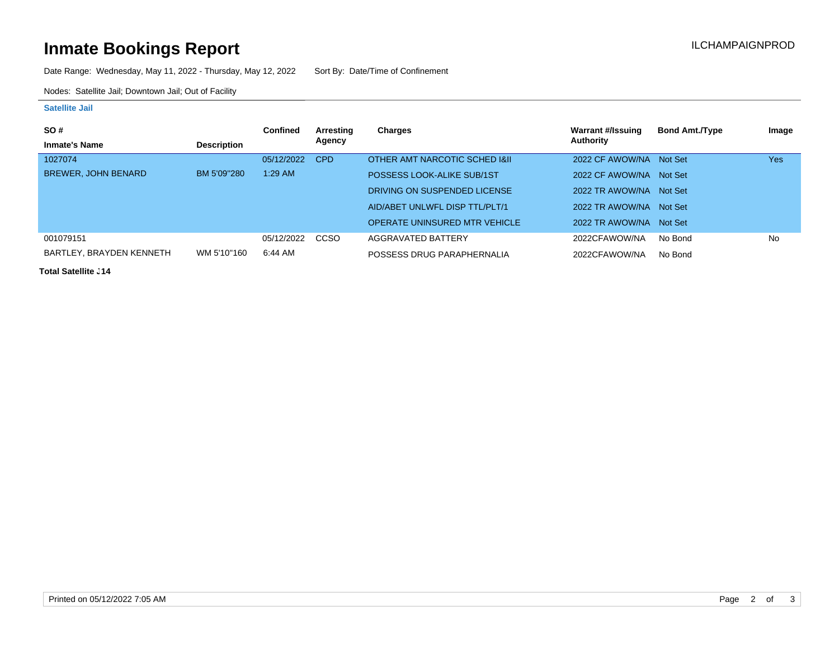# **Inmate Bookings Report Installation ILCHAMPAIGNPROD**

Date Range: Wednesday, May 11, 2022 - Thursday, May 12, 2022 Sort By: Date/Time of Confinement

Nodes: Satellite Jail; Downtown Jail; Out of Facility

### **Satellite Jail**

| SO#                        |                    | Confined   | Arresting | Charges                              | <b>Warrant #/Issuing</b> | <b>Bond Amt./Type</b> | Image |
|----------------------------|--------------------|------------|-----------|--------------------------------------|--------------------------|-----------------------|-------|
| <b>Inmate's Name</b>       | <b>Description</b> |            | Agency    |                                      | Authority                |                       |       |
| 1027074                    |                    | 05/12/2022 | CPD       | OTHER AMT NARCOTIC SCHED I&II        | 2022 CF AWOW/NA Not Set  |                       | Yes   |
| <b>BREWER, JOHN BENARD</b> | BM 5'09"280        | $1:29$ AM  |           | POSSESS LOOK-ALIKE SUB/1ST           | 2022 CF AWOW/NA Not Set  |                       |       |
|                            |                    |            |           | DRIVING ON SUSPENDED LICENSE         | 2022 TR AWOW/NA Not Set  |                       |       |
|                            |                    |            |           | AID/ABET UNLWFL DISP TTL/PLT/1       | 2022 TR AWOW/NA Not Set  |                       |       |
|                            |                    |            |           | <b>OPERATE UNINSURED MTR VEHICLE</b> | 2022 TR AWOW/NA Not Set  |                       |       |
| 001079151                  |                    | 05/12/2022 | CCSO      | AGGRAVATED BATTERY                   | 2022CFAWOW/NA            | No Bond               | No    |
| BARTLEY, BRAYDEN KENNETH   | WM 5'10"160        | 6:44 AM    |           | POSSESS DRUG PARAPHERNALIA           | 2022CFAWOW/NA            | No Bond               |       |

**Total Satellite J14**